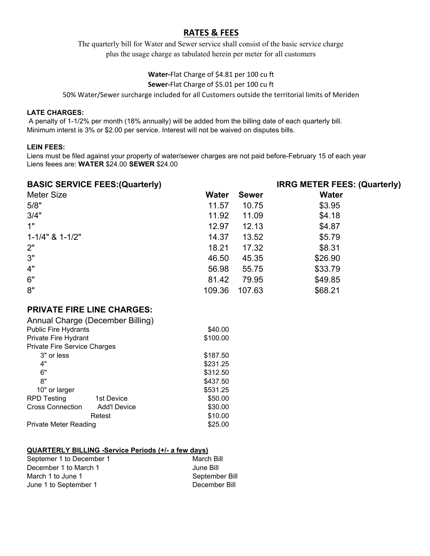# **RATES & FEES**

The quarterly bill for Water and Sewer service shall consist of the basic service charge plus the usage charge as tabulated herein per meter for all customers

## **Water‐**Flat Charge of \$4.81 per 100 cu ft **Sewer‐**Flat Charge of \$5.01 per 100 cu ft

50% Water/Sewer surcharge included for all Customers outside the territorial limits of Meriden

## **LATE CHARGES:**

 A penalty of 1-1/2% per month (18% annually) will be added from the billing date of each quarterly bill. Minimum interst is 3% or \$2.00 per service. Interest will not be waived on disputes bills.

### **LEIN FEES:**

Liens must be filed against your property of water/sewer charges are not paid before-February 15 of each year Liens feees are: **WATER** \$24.00 **SEWER** \$24.00

| <b>BASIC SERVICE FEES: (Quarterly)</b> |              |              | <b>IRRG METER FEES: (Quarterly)</b> |
|----------------------------------------|--------------|--------------|-------------------------------------|
| <b>Meter Size</b>                      | <b>Water</b> | <b>Sewer</b> | <b>Water</b>                        |
| 5/8"                                   | 11.57        | 10.75        | \$3.95                              |
| 3/4"                                   | 11.92        | 11.09        | \$4.18                              |
| 1"                                     | 12.97        | 12.13        | \$4.87                              |
| $1 - 1/4$ " & $1 - 1/2$ "              | 14.37        | 13.52        | \$5.79                              |
| 2"                                     | 18.21        | 17.32        | \$8.31                              |
| 3"                                     | 46.50        | 45.35        | \$26.90                             |
| 4"                                     | 56.98        | 55.75        | \$33.79                             |
| 6"                                     | 81.42        | 79.95        | \$49.85                             |
| 8"                                     | 109.36       | 107.63       | \$68.21                             |

# **PRIVATE FIRE LINE CHARGES:**

| Annual Charge (December Billing)    |                     |          |
|-------------------------------------|---------------------|----------|
| <b>Public Fire Hydrants</b>         |                     | \$40.00  |
| Private Fire Hydrant                |                     | \$100.00 |
| <b>Private Fire Service Charges</b> |                     |          |
| 3" or less                          |                     | \$187.50 |
| 4"                                  |                     | \$231.25 |
| 6"                                  |                     | \$312.50 |
| 8"                                  |                     | \$437.50 |
| 10" or larger                       |                     | \$531.25 |
| <b>RPD Testing</b>                  | 1st Device          | \$50.00  |
| <b>Cross Connection</b>             | <b>Add'l Device</b> | \$30.00  |
|                                     | Retest              | \$10.00  |
| Private Meter Reading               |                     | \$25.00  |

#### **QUARTERLY BILLING -Service Periods (+/- a few days)**

| Septemer 1 to December 1 | March Bill     |
|--------------------------|----------------|
| December 1 to March 1    | June Bill      |
| March 1 to June 1        | September Bill |
| June 1 to September 1    | December Bill  |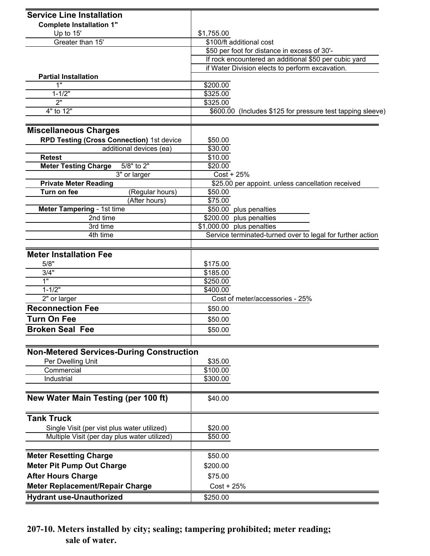| <b>Service Line Installation</b>                |                                                              |  |  |
|-------------------------------------------------|--------------------------------------------------------------|--|--|
| <b>Complete Installation 1"</b>                 |                                                              |  |  |
| Up to 15'                                       | \$1,755.00                                                   |  |  |
| Greater than 15'                                | \$100/ft additional cost                                     |  |  |
|                                                 | \$50 per foot for distance in excess of 30'-                 |  |  |
|                                                 | If rock encountered an additional \$50 per cubic yard        |  |  |
|                                                 | if Water Division elects to perform excavation.              |  |  |
| <b>Partial Installation</b>                     |                                                              |  |  |
| 1"                                              | \$200.00                                                     |  |  |
| $1 - 1/2"$                                      | \$325.00                                                     |  |  |
| $\overline{2}$                                  | \$325.00                                                     |  |  |
| 4" to 12"                                       | \$600.00 (Includes \$125 for pressure test tapping sleeve)   |  |  |
|                                                 |                                                              |  |  |
| <b>Miscellaneous Charges</b>                    |                                                              |  |  |
| RPD Testing (Cross Connection) 1st device       | \$50.00                                                      |  |  |
| additional devices (ea)                         | \$30.00                                                      |  |  |
| <b>Retest</b>                                   | \$10.00                                                      |  |  |
| 5/8" to 2"<br><b>Meter Testing Charge</b>       | \$20.00                                                      |  |  |
| 3" or larger                                    | $Cost + 25%$                                                 |  |  |
| <b>Private Meter Reading</b><br>Turn on fee     | \$25.00 per appoint. unless cancellation received<br>\$50.00 |  |  |
| (Regular hours)<br>(After hours)                | \$75.00                                                      |  |  |
| Meter Tampering - 1st time                      | \$50.00 plus penalties                                       |  |  |
| 2nd time                                        | \$200.00 plus penalties                                      |  |  |
| 3rd time                                        | \$1,000.00 plus penalties                                    |  |  |
| 4th time                                        | Service terminated-turned over to legal for further action   |  |  |
|                                                 |                                                              |  |  |
| <b>Meter Installation Fee</b>                   |                                                              |  |  |
| 5/8"                                            | \$175.00                                                     |  |  |
| 3/4"                                            | \$185.00                                                     |  |  |
| 1"                                              | \$250.00                                                     |  |  |
| $1 - 1/2"$                                      | \$400.00                                                     |  |  |
| 2" or larger                                    | Cost of meter/accessories - 25%                              |  |  |
| <b>Reconnection Fee</b>                         | \$50.00                                                      |  |  |
| <b>Turn On Fee</b>                              | \$50.00                                                      |  |  |
| <b>Broken Seal Fee</b>                          | \$50.00                                                      |  |  |
|                                                 |                                                              |  |  |
|                                                 |                                                              |  |  |
| <b>Non-Metered Services-During Construction</b> |                                                              |  |  |
| Per Dwelling Unit                               | \$35.00                                                      |  |  |
| Commercial                                      | \$100.00                                                     |  |  |
| Industrial                                      | \$300.00                                                     |  |  |
|                                                 |                                                              |  |  |
| New Water Main Testing (per 100 ft)             | \$40.00                                                      |  |  |
| <b>Tank Truck</b>                               |                                                              |  |  |
| Single Visit (per vist plus water utilized)     | \$20.00                                                      |  |  |
| Multiple Visit (per day plus water utilized)    | \$50.00                                                      |  |  |
|                                                 |                                                              |  |  |
| <b>Meter Resetting Charge</b>                   | \$50.00                                                      |  |  |
| <b>Meter Pit Pump Out Charge</b>                | \$200.00                                                     |  |  |
| <b>After Hours Charge</b>                       | \$75.00                                                      |  |  |
| <b>Meter Replacement/Repair Charge</b>          | $Cost + 25%$                                                 |  |  |
|                                                 |                                                              |  |  |
| <b>Hydrant use-Unauthorized</b>                 | \$250.00                                                     |  |  |

**207-10. Meters installed by city; sealing; tampering prohibited; meter reading; sale of water.**